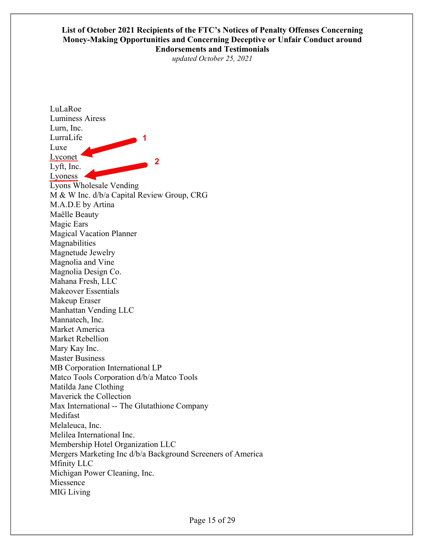## **List of October 2021 Recipients of the FTC's Notices of Penalty Offenses Concerning Money-Making Opportunities and Concerning Deceptive or Unfair Conduct around Endorsements and Testimonials**

*updated October 25, 2021* 

LuLaRoe Luminess Airess Lurn, Inc. LurraLife Luxe Lyconet<sup>4</sup> Lyft, Inc. Lyoness Lyons Wholesale Vending M & W Inc. d/b/a Capital Review Group, CRG M.A.D.E by Artina Maëlle Beauty Magic Ears Magical Vacation Planner Magnabilities Magnetude Jewelry Magnolia and Vine Magnolia Design Co. Mahana Fresh, LLC Makeover Essentials Makeup Eraser Manhattan Vending LLC Mannatech, Inc. Market America Market Rebellion Mary Kay Inc. Master Business MB Corporation International LP Matco Tools Corporation d/b/a Matco Tools Matilda Jane Clothing Maverick the Collection Max International -- The Glutathione Company Medifast Melaleuca, Inc. Melilea International Inc. Membership Hotel Organization LLC Mergers Marketing Inc d/b/a Background Screeners of America Mfinity LLC Michigan Power Cleaning, Inc. Miessence MIG Living **1 2**